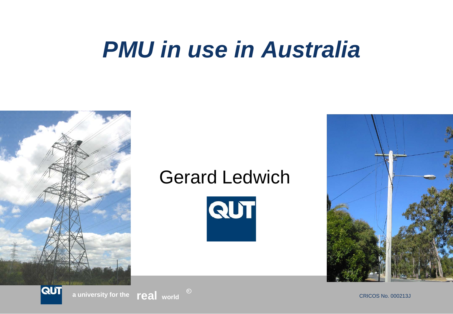# *PMU in use in Australia*



### Gerard Ledwich





**R**

**a** university for the **real** world  $\overset{\text{\tiny{(c)}}}{\phantom{}_{\smile}}$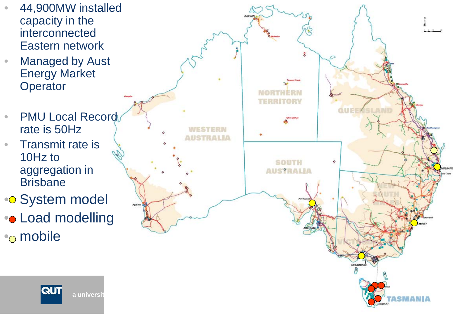- 44,900MW installed capacity in the interconnected Eastern network
- Managed by Aust Energy Market **Operator**
- PMU Local Record rate is 50Hz
- Transmit rate is 10Hz to aggregation in **Brisbane**
- •• System model •• Load modelling<br>•• mobile

**QUT** 

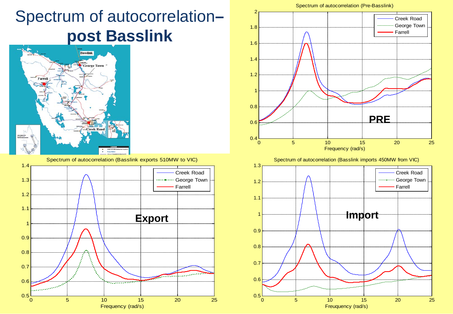### Spectrum of autocorrelation**– post Basslink**



1.4 Spectrum of autocorrelation (Basslink exports 510MW to VIC)







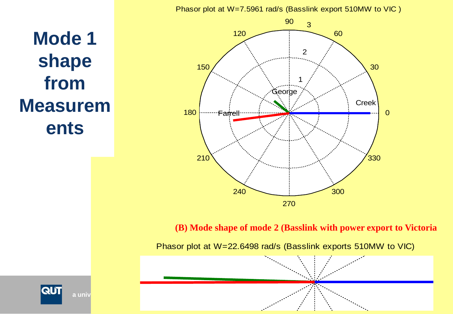Phasor plot at W=7.5961 rad/s (Basslink export 510MW to VIC )

**Mode 1 shape from Measurem ents**

**QUT** 



**(B) Mode shape of mode 2 (Basslink with power export to Victoria**

Phasor plot at W=22.6498 rad/s (Basslink exports 510MW to VIC)

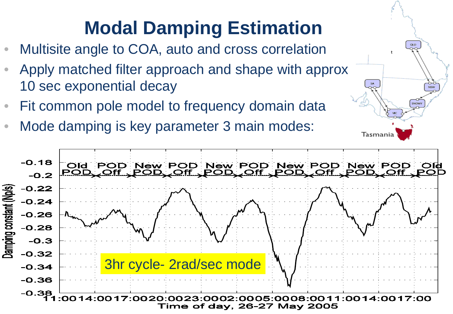# **Modal Damping Estimation**

- Multisite angle to COA, auto and cross correlation
- Apply matched filter approach and shape with approx 10 sec exponential decay
- Fit common pole model to frequency domain data
- Mode damping is key parameter 3 main modes:



Tasmania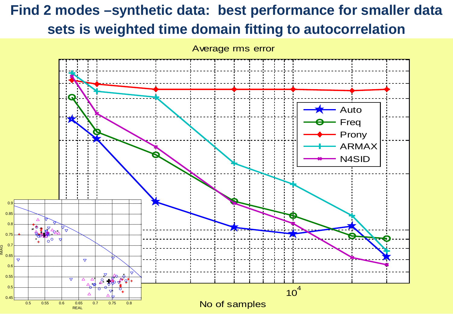### **Find 2 modes –synthetic data: best performance for smaller data sets is weighted time domain fitting to autocorrelation**



IMAG

Average rms error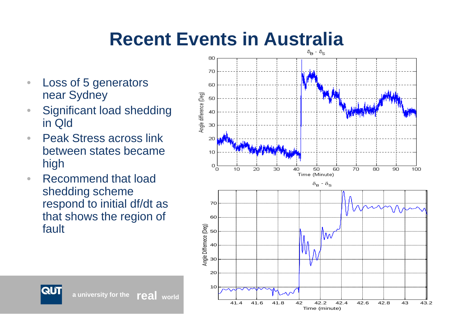# **Recent Events in Australia**

- Loss of 5 generators near Sydney
- Significant load shedding in Qld
- Peak Stress across link between states became high
- Recommend that load shedding scheme respond to initial df/dt as that shows the region of fault



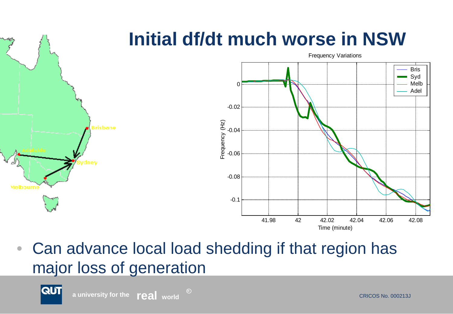

• Can advance local load shedding if that region has major loss of generation

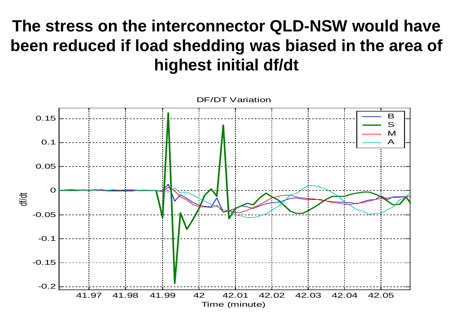### **The stress on the interconnector QLD-NSW would have been reduced if load shedding was biased in the area of highest initial df/dt**

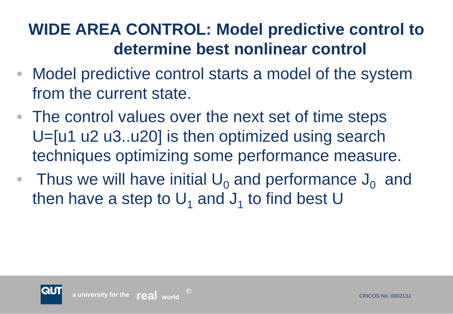### **WIDE AREA CONTROL: Model predictive control to determine best nonlinear control**

- Model predictive control starts a model of the system from the current state.
- The control values over the next set of time steps U=[u1 u2 u3..u20] is then optimized using search techniques optimizing some performance measure.
- Thus we will have initial  $U_0$  and performance  $J_0$  and then have a step to  $U_1$  and  $J_1$  to find best U

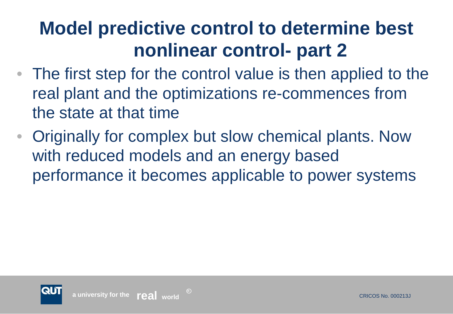# **Model predictive control to determine best nonlinear control- part 2**

- The first step for the control value is then applied to the real plant and the optimizations re-commences from the state at that time
- Originally for complex but slow chemical plants. Now with reduced models and an energy based performance it becomes applicable to power systems

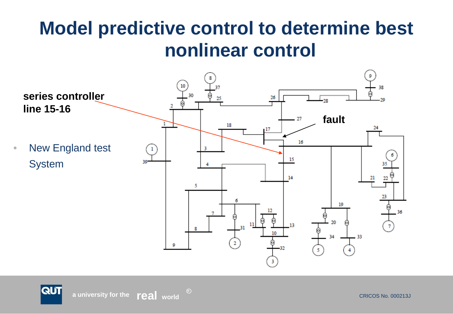# **Model predictive control to determine best nonlinear control**



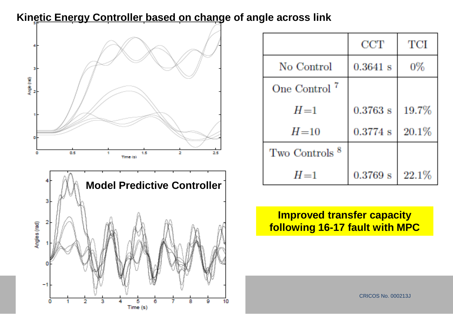#### **Kinetic Energy Controller based on change of angle across link**



|                           | CCT        | TCI   |
|---------------------------|------------|-------|
| No Control                | $0.3641$ s | 0%    |
| One Control <sup>7</sup>  |            |       |
| $H=1$                     | $0.3763$ s | 19.7% |
| $H=10$                    | $0.3774$ s | 20.1% |
| Two Controls <sup>8</sup> |            |       |
| $H = 1$                   | 0.3769 s   | 22.1% |

**Improved transfer capacity following 16-17 fault with MPC**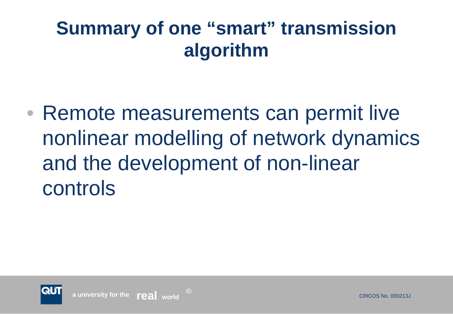# **Summary of one "smart" transmission algorithm**

• Remote measurements can permit live nonlinear modelling of network dynamics and the development of non-linear controls

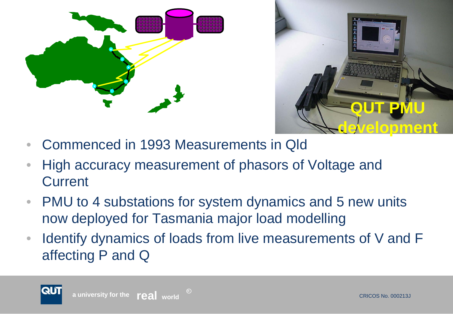



- Commenced in 1993 Measurements in Qld
- High accuracy measurement of phasors of Voltage and **Current**

- PMU to 4 substations for system dynamics and 5 new units now deployed for Tasmania major load modelling
- Identify dynamics of loads from live measurements of V and F affecting P and Q

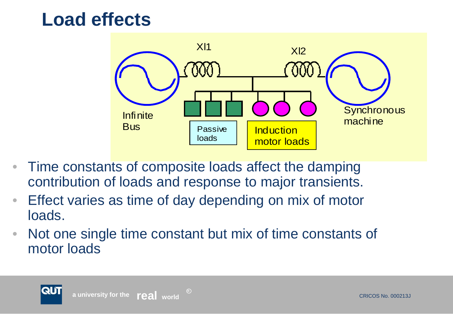## **Load effects**



- Time constants of composite loads affect the damping contribution of loads and response to major transients.
- Effect varies as time of day depending on mix of motor loads.

**R**

• Not one single time constant but mix of time constants of motor loads

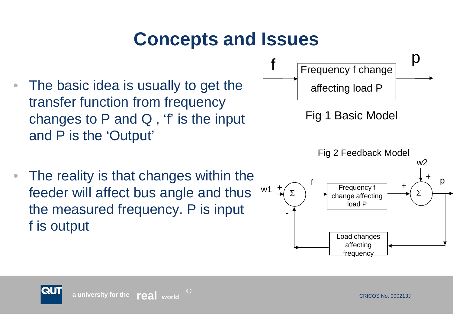# **Concepts and Issues**

- The basic idea is usually to get the transfer function from frequency changes to P and Q , 'f' is the input and P is the 'Output'
- The reality is that changes within the feeder will affect bus angle and thus the measured frequency. P is input f is output



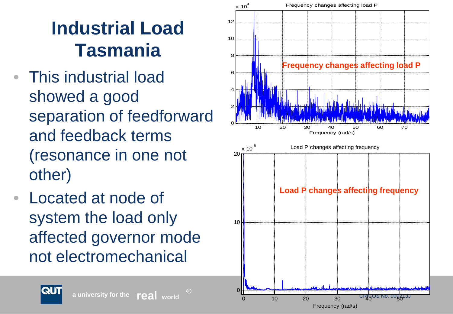# **Industrial Load Tasmania**

- This industrial load showed a good separation of feedforward and feedback terms (resonance in one not other)
- Located at node of system the load only affected governor mode not electromechanical



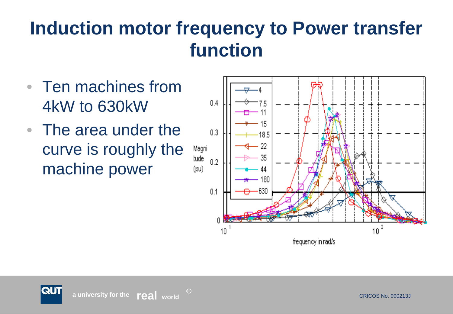# **Induction motor frequency to Power transfer function**

- Ten machines from 4kW to 630kW
- The area under the curve is roughly the machine power

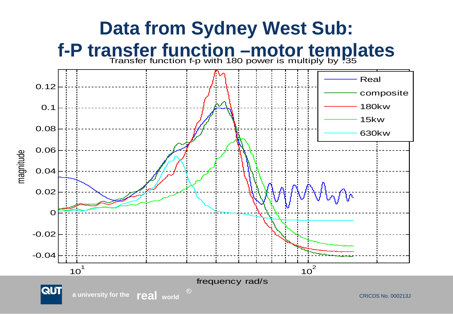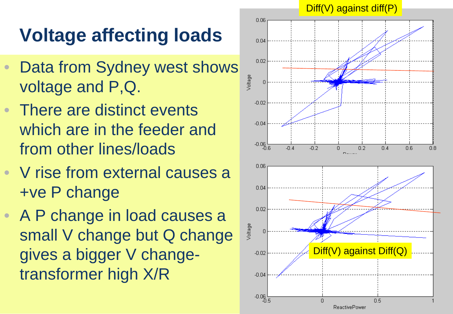# **Voltage affecting loads**

- Data from Sydney west shows voltage and P,Q.
- There are distinct events which are in the feeder and from other lines/loads
- V rise from external causes a +ve P change
- A P change in load causes a small V change but Q change gives a bigger V changetransformer high X/R

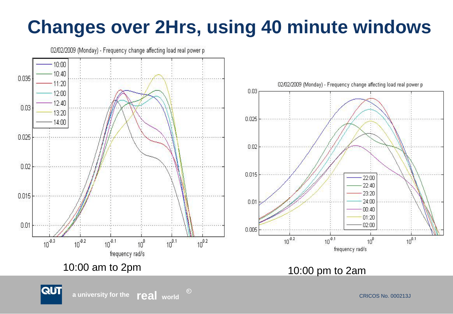# **Changes over 2Hrs, using 40 minute windows**



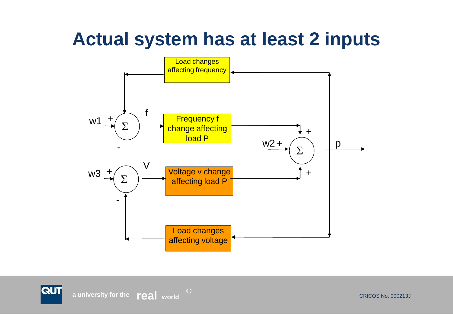# **Actual system has at least 2 inputs**



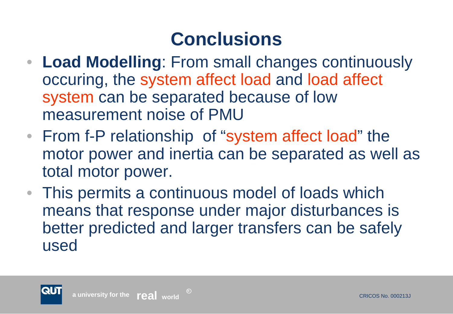# **Conclusions**

- **Load Modelling**: From small changes continuously occuring, the system affect load and load affect system can be separated because of low measurement noise of PMU
- From f-P relationship of "system affect load" the motor power and inertia can be separated as well as total motor power.
- This permits a continuous model of loads which means that response under major disturbances is better predicted and larger transfers can be safely used